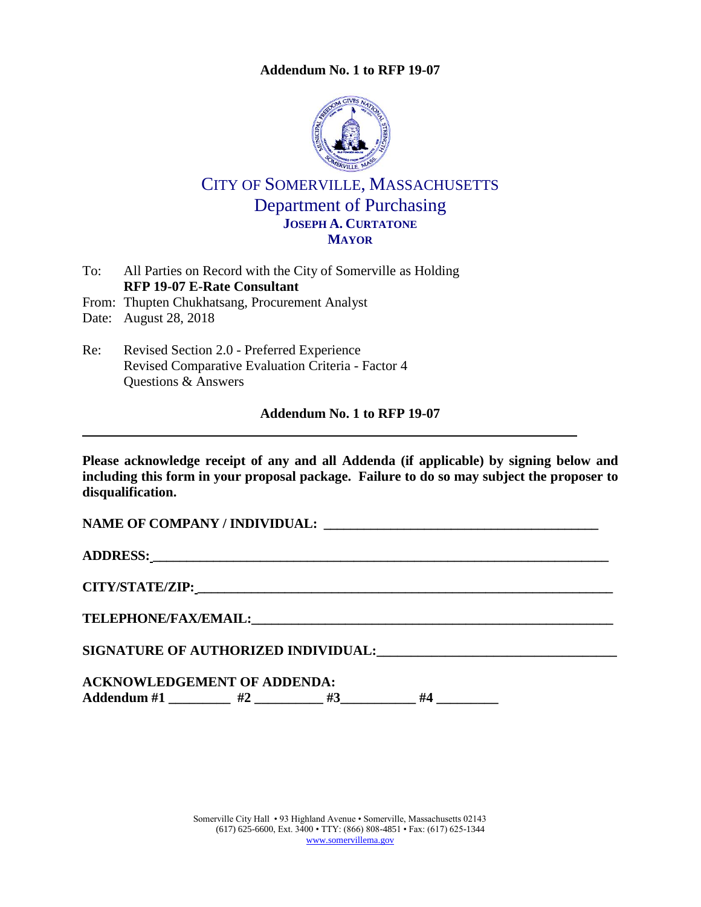### **Addendum No. 1 to RFP 19-07**



# CITY OF SOMERVILLE, MASSACHUSETTS Department of Purchasing **JOSEPH A. CURTATONE MAYOR**

- To: All Parties on Record with the City of Somerville as Holding **RFP 19-07 E-Rate Consultant**
- From: Thupten Chukhatsang, Procurement Analyst

Date: August 28, 2018

Re: Revised Section 2.0 - Preferred Experience Revised Comparative Evaluation Criteria - Factor 4 Questions & Answers

### **Addendum No. 1 to RFP 19-07**

**Please acknowledge receipt of any and all Addenda (if applicable) by signing below and including this form in your proposal package. Failure to do so may subject the proposer to disqualification.**

**NAME OF COMPANY / INDIVIDUAL: \_\_\_\_\_\_\_\_\_\_\_\_\_\_\_\_\_\_\_\_\_\_\_\_\_\_\_\_\_\_\_\_\_\_\_\_\_\_\_\_\_**

**ADDRESS: \_\_\_\_\_\_\_\_\_\_\_\_\_\_\_\_\_\_\_\_\_\_\_\_\_\_\_\_\_\_\_\_\_\_\_\_\_\_\_\_\_\_\_\_\_\_\_\_\_\_\_\_\_\_\_\_\_\_\_\_\_\_\_\_\_\_\_\_**

**CITY/STATE/ZIP: \_\_\_\_\_\_\_\_\_\_\_\_\_\_\_\_\_\_\_\_\_\_\_\_\_\_\_\_\_\_\_\_\_\_\_\_\_\_\_\_\_\_\_\_\_\_\_\_\_\_\_\_\_\_\_\_\_\_\_\_\_\_**

**TELEPHONE/FAX/EMAIL:\_\_\_\_\_\_\_\_\_\_\_\_\_\_\_\_\_\_\_\_\_\_\_\_\_\_\_\_\_\_\_\_\_\_\_\_\_\_\_\_\_\_\_\_\_\_\_\_\_\_\_\_\_\_**

**SIGNATURE OF AUTHORIZED INDIVIDUAL:\_\_\_\_\_\_\_\_\_\_\_\_\_\_\_\_\_\_\_\_\_\_\_\_\_\_\_\_\_\_\_\_\_\_\_**

### **ACKNOWLEDGEMENT OF ADDENDA:**

**Addendum #1 \_\_\_\_\_\_\_\_\_ #2 \_\_\_\_\_\_\_\_\_\_ #3\_\_\_\_\_\_\_\_\_\_\_ #4 \_\_\_\_\_\_\_\_\_**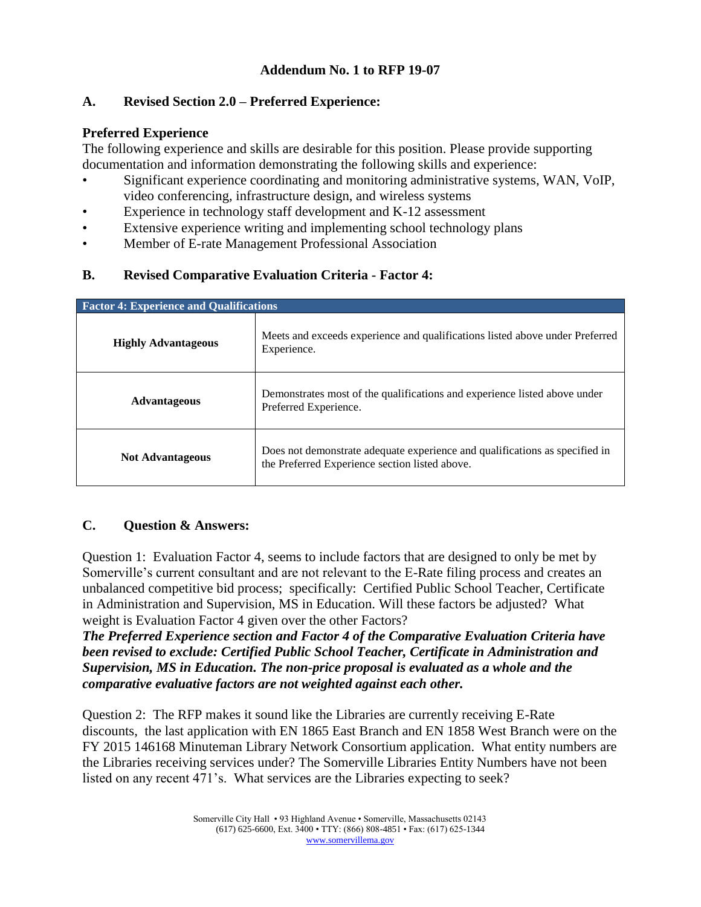### **Addendum No. 1 to RFP 19-07**

### **A. Revised Section 2.0 – Preferred Experience:**

### **Preferred Experience**

The following experience and skills are desirable for this position. Please provide supporting documentation and information demonstrating the following skills and experience:

- Significant experience coordinating and monitoring administrative systems, WAN, VoIP, video conferencing, infrastructure design, and wireless systems
- Experience in technology staff development and K-12 assessment
- Extensive experience writing and implementing school technology plans
- Member of E-rate Management Professional Association

## **B. Revised Comparative Evaluation Criteria - Factor 4:**

| <b>Factor 4: Experience and Qualifications</b> |                                                                                                                               |
|------------------------------------------------|-------------------------------------------------------------------------------------------------------------------------------|
| <b>Highly Advantageous</b>                     | Meets and exceeds experience and qualifications listed above under Preferred<br>Experience.                                   |
| <b>Advantageous</b>                            | Demonstrates most of the qualifications and experience listed above under<br>Preferred Experience.                            |
| <b>Not Advantageous</b>                        | Does not demonstrate adequate experience and qualifications as specified in<br>the Preferred Experience section listed above. |

### **C. Question & Answers:**

Question 1: Evaluation Factor 4, seems to include factors that are designed to only be met by Somerville's current consultant and are not relevant to the E-Rate filing process and creates an unbalanced competitive bid process; specifically: Certified Public School Teacher, Certificate in Administration and Supervision, MS in Education. Will these factors be adjusted? What weight is Evaluation Factor 4 given over the other Factors?

*The Preferred Experience section and Factor 4 of the Comparative Evaluation Criteria have been revised to exclude: Certified Public School Teacher, Certificate in Administration and Supervision, MS in Education. The non-price proposal is evaluated as a whole and the comparative evaluative factors are not weighted against each other.*

Question 2: The RFP makes it sound like the Libraries are currently receiving E-Rate discounts, the last application with EN 1865 East Branch and EN 1858 West Branch were on the FY 2015 146168 Minuteman Library Network Consortium application. What entity numbers are the Libraries receiving services under? The Somerville Libraries Entity Numbers have not been listed on any recent 471's. What services are the Libraries expecting to seek?